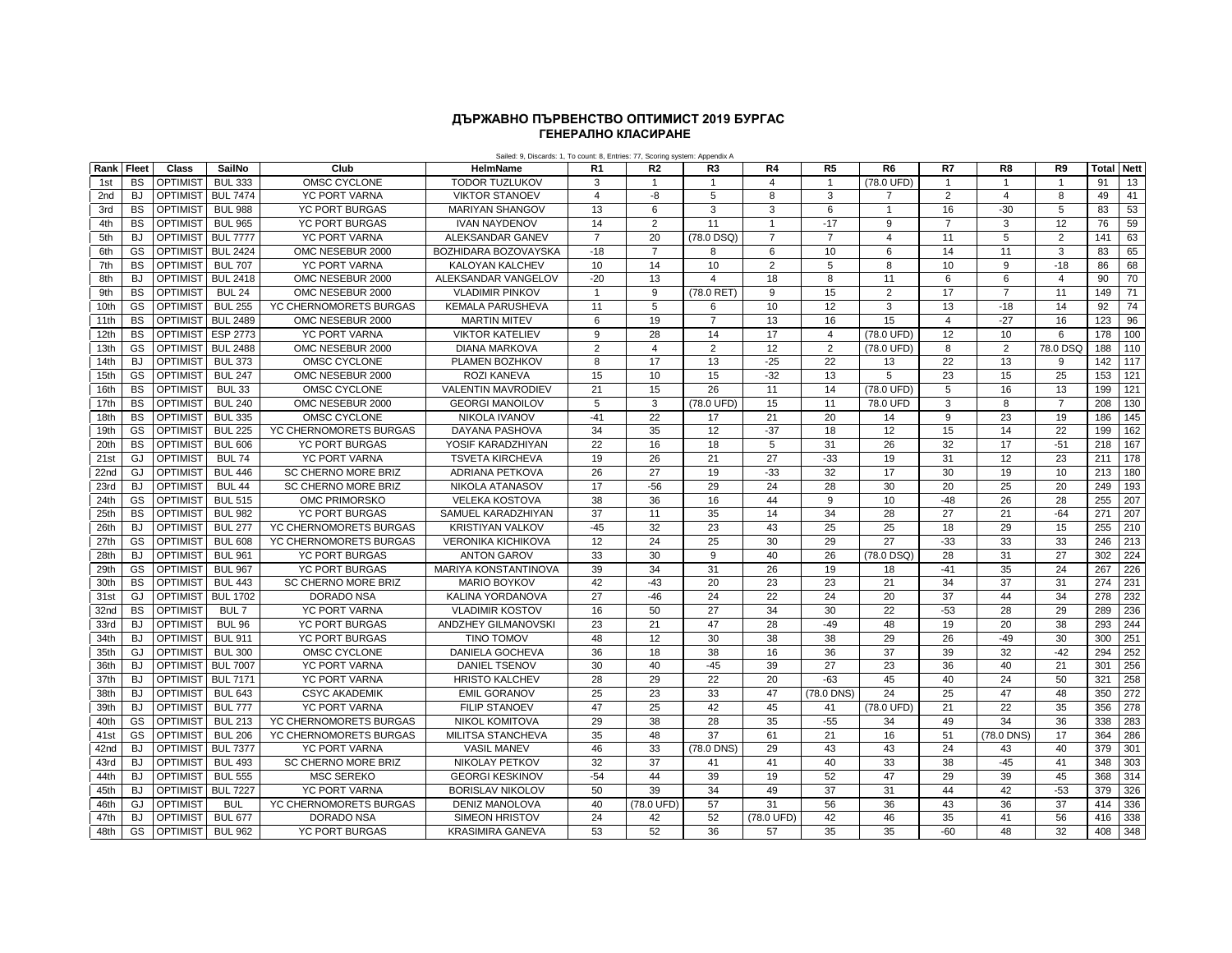## **ГЕНЕРАЛНО КЛАСИРАНЕ ДЪРЖАВНО ПЪРВЕНСТВО ОПТИМИСТ 2019 БУРГАС**

|      |           |                   |                  |                            | Sailed: 9, Discards: 1, To count: 8, Entries: 77, Scoring system: Appendix A |                         |                       |                |                |                |                |                 |                |                |                   |     |
|------|-----------|-------------------|------------------|----------------------------|------------------------------------------------------------------------------|-------------------------|-----------------------|----------------|----------------|----------------|----------------|-----------------|----------------|----------------|-------------------|-----|
| Rank | Fleet     | Class             | SailNo           | Club                       | HelmName                                                                     | R <sub>1</sub>          | R <sub>2</sub>        | R3             | R <sub>4</sub> | R <sub>5</sub> | R <sub>6</sub> | R7              | R <sub>8</sub> | R <sub>9</sub> | <b>Total Nett</b> |     |
| 1st  | <b>BS</b> | <b>OPTIMIST</b>   | <b>BUL 333</b>   | OMSC CYCLONE               | <b>TODOR TUZLUKOV</b>                                                        | 3                       |                       | $\mathbf{1}$   | 4              | $\mathbf{1}$   | (78.0 UFD)     | $\overline{1}$  | $\overline{1}$ | $\overline{1}$ | 91                | 13  |
| 2nd  | <b>BJ</b> | <b>OPTIMIST</b>   | <b>BUL 7474</b>  | <b>YC PORT VARNA</b>       | <b>VIKTOR STANOEV</b>                                                        | $\overline{\mathbf{A}}$ | -8                    | 5              | 8              | 3              | $\overline{7}$ | 2               | 4              | 8              | 49                | 41  |
| 3rd  | <b>BS</b> | <b>OPTIMIST</b>   | <b>BUL 988</b>   | <b>YC PORT BURGAS</b>      | <b>MARIYAN SHANGOV</b>                                                       | 13                      | 6                     | 3              | 3              | 6              | $\overline{1}$ | 16              | $-30$          | 5              | 83                | 53  |
| 4th  | <b>BS</b> | <b>OPTIMIST</b>   | <b>BUL 965</b>   | <b>YC PORT BURGAS</b>      | <b>IVAN NAYDENOV</b>                                                         | 14                      | $\overline{2}$        | 11             | $\overline{1}$ | $-17$          | 9              | $\overline{7}$  | 3              | 12             | 76                | 59  |
| 5th  | <b>BJ</b> | OPTIMIST BUL 7777 |                  | <b>YC PORT VARNA</b>       | ALEKSANDAR GANEV                                                             | $\overline{7}$          | 20                    | (78.0 DSQ)     | $\overline{7}$ | $\overline{7}$ | $\overline{4}$ | 11              | 5              | 2              | 141               | 63  |
| 6th  | GS        | <b>OPTIMIST</b>   | <b>BUL 2424</b>  | OMC NESEBUR 2000           | BOZHIDARA BOZOVAYSKA                                                         | $-18$                   | $\overline{7}$        | 8              | 6              | 10             | 6              | 14              | 11             | 3              | 83                | 65  |
| 7th  | <b>BS</b> | <b>OPTIMIST</b>   | <b>BUL 707</b>   | <b>YC PORT VARNA</b>       | KALOYAN KALCHEV                                                              | 10                      | 14                    | 10             | $\overline{2}$ | 5              | 8              | 10              | 9              | $-18$          | 86                | 68  |
| 8th  | <b>BJ</b> | <b>OPTIMIST</b>   | <b>BUL 2418</b>  | OMC NESEBUR 2000           | ALEKSANDAR VANGELOV                                                          | $-20$                   | 13                    | $\overline{4}$ | 18             | 8              | 11             | 6               | 6              | $\overline{4}$ | 90                | 70  |
| 9th  | <b>BS</b> | <b>OPTIMIST</b>   | <b>BUL 24</b>    | OMC NESEBUR 2000           | <b>VLADIMIR PINKOV</b>                                                       | $\overline{1}$          | 9                     | (78.0 RET)     | 9              | 15             | $\overline{2}$ | $\overline{17}$ | $\overline{7}$ | 11             | 149               | 71  |
| 10th | GS        | <b>OPTIMIST</b>   | <b>BUL 255</b>   | YC CHERNOMORETS BURGAS     | <b>KEMALA PARUSHEVA</b>                                                      | 11                      | 5                     | 6              | 10             | 12             | 3              | 13              | $-18$          | 14             | 92                | 74  |
| 11th | <b>BS</b> | <b>OPTIMIST</b>   | <b>BUL 2489</b>  | OMC NESEBUR 2000           | <b>MARTIN MITEV</b>                                                          | 6                       | 19                    | $\overline{7}$ | 13             | 16             | 15             | $\overline{4}$  | $-27$          | 16             | 123               | 96  |
| 12th | <b>BS</b> | <b>OPTIMIST</b>   | ESP 2773         | <b>YC PORT VARNA</b>       | <b>VIKTOR KATELIEV</b>                                                       | $\mathbf{Q}$            | 28                    | 14             | 17             | $\overline{4}$ | (78.0 UFD)     | 12              | 10             | 6              | 178               | 100 |
| 13th | GS        | <b>OPTIMIST</b>   | <b>BUL 2488</b>  | OMC NESEBUR 2000           | <b>DIANA MARKOVA</b>                                                         | $\overline{2}$          | $\overline{4}$        | $\overline{2}$ | 12             | $\overline{2}$ | (78.0 UFD)     | 8               | $\overline{2}$ | 78.0 DSQ       | 188               | 110 |
| 14th | <b>BJ</b> | <b>OPTIMIST</b>   | <b>BUL 373</b>   | OMSC CYCLONE               | PLAMEN BOZHKOV                                                               | 8                       | 17                    | 13             | $-25$          | 22             | 13             | 22              | 13             | 9              | 142               | 117 |
| 15th | GS        | <b>OPTIMIST</b>   | <b>BUL 247</b>   | OMC NESEBUR 2000           | <b>ROZI KANEVA</b>                                                           | 15                      | 10                    | 15             | $-32$          | 13             | 5              | 23              | 15             | 25             | 153               | 121 |
| 16th | <b>BS</b> | <b>OPTIMIST</b>   | <b>BUL 33</b>    | OMSC CYCLONE               | <b>VALENTIN MAVRODIEV</b>                                                    | 21                      | 15                    | 26             | 11             | 14             | (78.0 UFD)     | 5               | 16             | 13             | 199               | 121 |
| 17th | <b>BS</b> | <b>OPTIMIST</b>   | <b>BUL 240</b>   | OMC NESEBUR 2000           | <b>GEORGI MANOILOV</b>                                                       | 5                       | 3                     | (78.0 UFD)     | 15             | 11             | 78.0 UFD       | 3               | 8              | $\overline{7}$ | 208               | 130 |
| 18th | <b>BS</b> | <b>OPTIMIST</b>   | <b>BUL 335</b>   | OMSC CYCLONE               | NIKOLA IVANOV                                                                | $-41$                   | 22                    | 17             | 21             | 20             | 14             | 9               | 23             | 19             | 186               | 145 |
| 19th | GS        | <b>OPTIMIST</b>   | <b>BUL 225</b>   | YC CHERNOMORETS BURGAS     | <b>DAYANA PASHOVA</b>                                                        | 34                      | 35                    | 12             | $-37$          | 18             | 12             | 15              | 14             | 22             | 199               | 162 |
| 20th | <b>BS</b> | <b>OPTIMIST</b>   | <b>BUL 606</b>   | <b>YC PORT BURGAS</b>      | YOSIF KARADZHIYAN                                                            | 22                      | 16                    | 18             | 5              | 31             | 26             | 32              | 17             | $-51$          | 218               | 167 |
| 21st | GJ        | <b>OPTIMIST</b>   | <b>BUL 74</b>    | <b>YC PORT VARNA</b>       | <b>TSVETA KIRCHEVA</b>                                                       | 19                      | 26                    | 21             | 27             | $-33$          | 19             | 31              | 12             | 23             | 211               | 178 |
| 22nd | GJ        | <b>OPTIMIST</b>   | <b>BUL 446</b>   | <b>SC CHERNO MORE BRIZ</b> | <b>ADRIANA PETKOVA</b>                                                       | 26                      | 27                    | 19             | $-33$          | 32             | 17             | 30              | 19             | 10             | 213               | 180 |
| 23rd | <b>BJ</b> | <b>OPTIMIST</b>   | <b>BUL 44</b>    | <b>SC CHERNO MORE BRIZ</b> | <b>NIKOLA ATANASOV</b>                                                       | 17                      | $-56$                 | 29             | 24             | 28             | 30             | 20              | 25             | 20             | 249               | 193 |
| 24th | GS        | <b>OPTIMIST</b>   | <b>BUL 515</b>   | OMC PRIMORSKO              | <b>VELEKA KOSTOVA</b>                                                        | 38                      | 36                    | 16             | 44             | 9              | 10             | $-48$           | 26             | 28             | 255               | 207 |
| 25th | <b>BS</b> | <b>OPTIMIST</b>   | <b>BUL 982</b>   | <b>YC PORT BURGAS</b>      | SAMUEL KARADZHIYAN                                                           | 37                      | 11                    | 35             | 14             | 34             | 28             | 27              | 21             | $-64$          | 271               | 207 |
| 26th | <b>BJ</b> | <b>OPTIMIST</b>   | <b>BUL 277</b>   | YC CHERNOMORETS BURGAS     | <b>KRISTIYAN VALKOV</b>                                                      | $-45$                   | 32                    | 23             | 43             | 25             | 25             | 18              | 29             | 15             | 255               | 210 |
| 27th | GS        | <b>OPTIMIST</b>   | <b>BUL 608</b>   | YC CHERNOMORETS BURGAS     | <b>VERONIKA KICHIKOVA</b>                                                    | 12                      | 24                    | 25             | 30             | 29             | 27             | $-33$           | 33             | 33             | 246               | 213 |
| 28th | <b>BJ</b> | <b>OPTIMIST</b>   | <b>BUL 961</b>   | YC PORT BURGAS             | <b>ANTON GAROV</b>                                                           | 33                      | 30                    | 9              | 40             | 26             | (78.0 DSQ)     | 28              | 31             | 27             | 302               | 224 |
| 29th | GS        | <b>OPTIMIST</b>   | <b>BUL 967</b>   | <b>YC PORT BURGAS</b>      | MARIYA KONSTANTINOVA                                                         | 39                      | $\overline{34}$       | 31             | 26             | 19             | 18             | $-41$           | 35             | 24             | 267               | 226 |
| 30th | <b>BS</b> | <b>OPTIMIST</b>   | <b>BUL 443</b>   | SC CHERNO MORE BRIZ        | <b>MARIO BOYKOV</b>                                                          | 42                      | $-43$                 | 20             | 23             | 23             | 21             | 34              | 37             | 31             | 274               | 231 |
| 31st | GJ        | <b>OPTIMIST</b>   | <b>BUL 1702</b>  | <b>DORADO NSA</b>          | KALINA YORDANOVA                                                             | 27                      | $-46$                 | 24             | 22             | 24             | 20             | 37              | 44             | 34             | 278               | 232 |
| 32nd | <b>BS</b> | <b>OPTIMIST</b>   | BUL <sub>7</sub> | <b>YC PORT VARNA</b>       | <b>VLADIMIR KOSTOV</b>                                                       | 16                      | 50                    | 27             | 34             | 30             | 22             | $-53$           | 28             | 29             | 289               | 236 |
| 33rd | <b>BJ</b> | <b>OPTIMIST</b>   | <b>BUL 96</b>    | <b>YC PORT BURGAS</b>      | <b>ANDZHEY GILMANOVSKI</b>                                                   | 23                      | 21                    | 47             | 28             | $-49$          | 48             | 19              | 20             | 38             | 293               | 244 |
| 34th | <b>BJ</b> | <b>OPTIMIST</b>   | <b>BUL 911</b>   | YC PORT BURGAS             | TINO TOMOV                                                                   | 48                      | 12                    | 30             | 38             | 38             | 29             | 26              | $-49$          | 30             | 300               | 251 |
| 35th | GJ        | <b>OPTIMIST</b>   | <b>BUL 300</b>   | OMSC CYCLONE               | <b>DANIELA GOCHEVA</b>                                                       | 36                      | 18                    | 38             | 16             | 36             | 37             | 39              | 32             | $-42$          | 294               | 252 |
| 36th | <b>BJ</b> | <b>OPTIMIST</b>   | <b>BUL 7007</b>  | <b>YC PORT VARNA</b>       | <b>DANIEL TSENOV</b>                                                         | 30                      | 40                    | $-45$          | 39             | 27             | 23             | 36              | 40             | 21             | 301               | 256 |
| 37th | <b>BJ</b> | <b>OPTIMIST</b>   | <b>BUL 7171</b>  | <b>YC PORT VARNA</b>       | <b>HRISTO KALCHEV</b>                                                        | 28                      | 29                    | 22             | 20             | $-63$          | 45             | 40              | 24             | 50             | 321               | 258 |
| 38th | <b>BJ</b> | <b>OPTIMIST</b>   | <b>BUL 643</b>   | <b>CSYC AKADEMIK</b>       | <b>EMIL GORANOV</b>                                                          | 25                      | 23                    | 33             | 47             | (78.0 DNS)     | 24             | 25              | 47             | 48             | 350               | 272 |
| 39th | <b>BJ</b> | <b>OPTIMIST</b>   | <b>BUL 777</b>   | <b>YC PORT VARNA</b>       | <b>FILIP STANOEV</b>                                                         | 47                      | 25                    | 42             | 45             | 41             | (78.0 UFD)     | 21              | 22             | 35             | 356               | 278 |
| 40th | GS        | <b>OPTIMIST</b>   | <b>BUL 213</b>   | YC CHERNOMORETS BURGAS     | <b>NIKOL KOMITOVA</b>                                                        | 29                      | 38                    | 28             | 35             | $-55$          | 34             | 49              | 34             | 36             | 338               | 283 |
|      | GS        |                   |                  |                            |                                                                              | 35                      | 48                    | 37             |                |                |                | 51              |                | 17             | 364               | 286 |
| 41st |           | <b>OPTIMIST</b>   | <b>BUL 206</b>   | YC CHERNOMORETS BURGAS     | MILITSA STANCHEVA                                                            |                         |                       |                | 61             | 21             | 16             |                 | (78.0 DNS)     |                |                   |     |
| 42nd | <b>BJ</b> | <b>OPTIMIST</b>   | <b>BUL 7377</b>  | <b>YC PORT VARNA</b>       | <b>VASIL MANEV</b>                                                           | 46<br>32                | 33<br>$\overline{37}$ | (78.0 DNS)     | 29             | 43             | 43             | 24              | 43             | 40<br>41       | 379               | 301 |
| 43rd | <b>BJ</b> | <b>OPTIMIST</b>   | <b>BUL 493</b>   | SC CHERNO MORE BRIZ        | <b>NIKOLAY PETKOV</b>                                                        |                         |                       | 41             | 41             | 40             | 33             | 38              | $-45$          |                | 348               | 303 |
| 44th | <b>BJ</b> | <b>OPTIMIST</b>   | <b>BUL 555</b>   | <b>MSC SEREKO</b>          | <b>GEORGI KESKINOV</b>                                                       | $-54$                   | 44                    | 39             | 19             | 52             | 47             | 29              | 39             | 45             | 368               | 314 |
| 45th | <b>BJ</b> | <b>OPTIMIST</b>   | <b>BUL 7227</b>  | <b>YC PORT VARNA</b>       | <b>BORISLAV NIKOLOV</b>                                                      | 50                      | 39                    | 34             | 49             | 37             | 31             | 44              | 42             | $-53$          | 379               | 326 |
| 46th | GJ        | <b>OPTIMIST</b>   | <b>BUL</b>       | YC CHERNOMORETS BURGAS     | <b>DENIZ MANOLOVA</b>                                                        | 40                      | (78.0 UFD)            | 57             | 31             | 56             | 36             | 43              | 36             | 37             | 414               | 336 |
| 47th | <b>BJ</b> | <b>OPTIMIST</b>   | <b>BUL 677</b>   | <b>DORADO NSA</b>          | <b>SIMEON HRISTOV</b>                                                        | 24                      | 42                    | 52             | (78.0 UFD)     | 42             | 46             | 35              | 41             | 56             | 416               | 338 |
| 48th | <b>GS</b> | <b>OPTIMIST</b>   | <b>BUL 962</b>   | YC PORT BURGAS             | <b>KRASIMIRA GANEVA</b>                                                      | 53                      | 52                    | 36             | 57             | 35             | 35             | $-60$           | 48             | 32             | 408               | 348 |